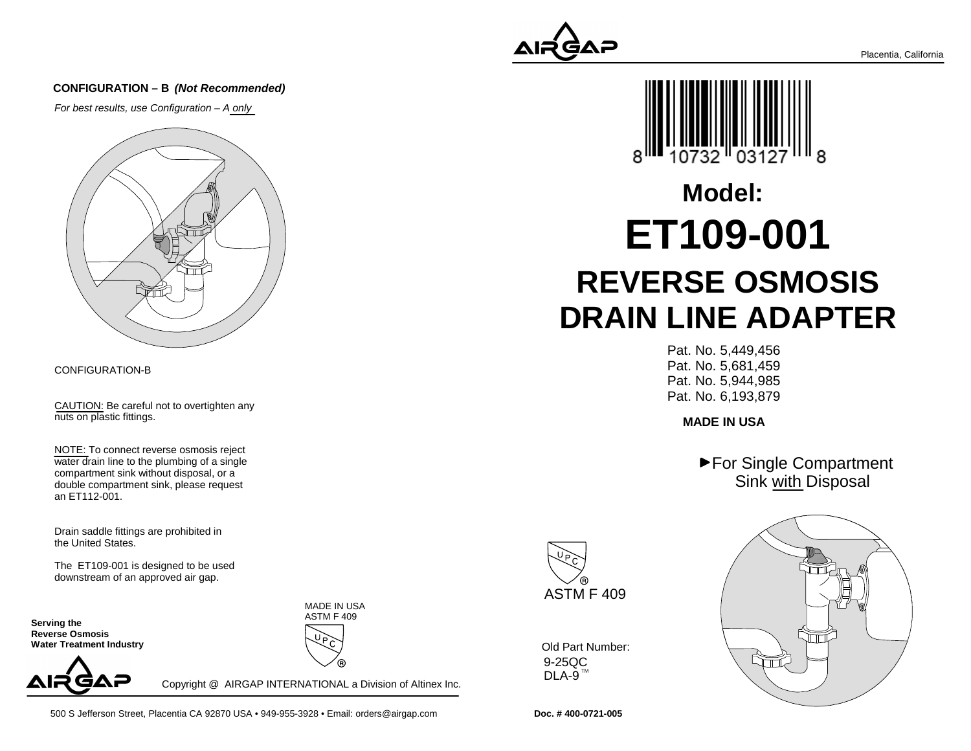#### **CONFIGURATION – B (Not Recommended)**

For best results, use Configuration – A only



#### CONFIGURATION-B

CAUTION: Be careful not to overtighten anynuts on plastic fittings.

NOTE: To connect reverse osmosis reject water drain line to the plumbing of a singlecompartment sink without disposal, or a double compartment sink, please requestan ET112-001.

Drain saddle fittings are prohibited inthe United States.

The ET109-001 is designed to be useddownstream of an approved air gap.

**Serving the Reverse Osmosis Water Treatment Industry**



Copyright @ AIRGAP INTERNATIONAL a Division of Altinex Inc.

MADE IN USAASTM F 409







# **REVERSE OSMOSIS DRAIN LINE ADAPTERET109-001Model:**

Pat. No. 5,449,456 Pat. No. 5,681,459 Pat. No. 5,944,985Pat. No. 6,193,879

**MADE IN USA**

▶ For Single Compartment Sink with Disposal



9-25QCDLA-9  $^{\text{\tiny{\textsf{TM}}}}$ Old Part Number:



**Doc. # 400-0721-005**